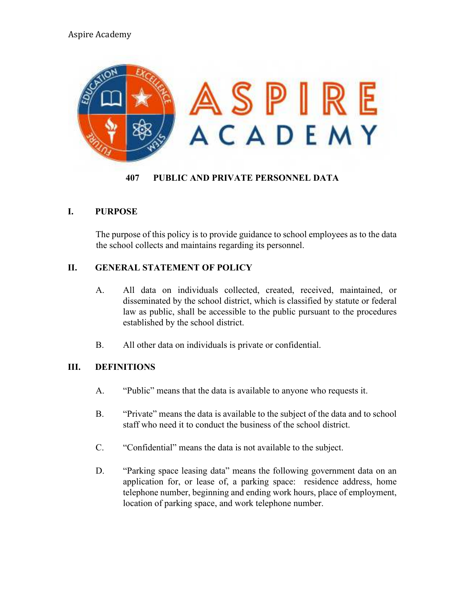# Aspire Academy



#### **407 PUBLIC AND PRIVATE PERSONNEL DATA**

## **I. PURPOSE**

The purpose of this policy is to provide guidance to school employees as to the data the school collects and maintains regarding its personnel.

#### **II. GENERAL STATEMENT OF POLICY**

- A. All data on individuals collected, created, received, maintained, or disseminated by the school district, which is classified by statute or federal law as public, shall be accessible to the public pursuant to the procedures established by the school district.
- B. All other data on individuals is private or confidential.

## **III. DEFINITIONS**

- A. "Public" means that the data is available to anyone who requests it.
- B. "Private" means the data is available to the subject of the data and to school staff who need it to conduct the business of the school district.
- C. "Confidential" means the data is not available to the subject.
- D. "Parking space leasing data" means the following government data on an application for, or lease of, a parking space: residence address, home telephone number, beginning and ending work hours, place of employment, location of parking space, and work telephone number.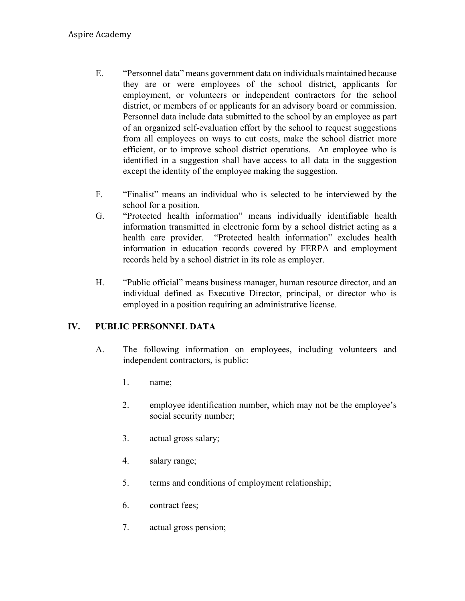- E. "Personnel data" means government data on individuals maintained because they are or were employees of the school district, applicants for employment, or volunteers or independent contractors for the school district, or members of or applicants for an advisory board or commission. Personnel data include data submitted to the school by an employee as part of an organized self-evaluation effort by the school to request suggestions from all employees on ways to cut costs, make the school district more efficient, or to improve school district operations. An employee who is identified in a suggestion shall have access to all data in the suggestion except the identity of the employee making the suggestion.
- F. "Finalist" means an individual who is selected to be interviewed by the school for a position.
- G. "Protected health information" means individually identifiable health information transmitted in electronic form by a school district acting as a health care provider. "Protected health information" excludes health information in education records covered by FERPA and employment records held by a school district in its role as employer.
- H. "Public official" means business manager, human resource director, and an individual defined as Executive Director, principal, or director who is employed in a position requiring an administrative license.

# **IV. PUBLIC PERSONNEL DATA**

- A. The following information on employees, including volunteers and independent contractors, is public:
	- 1. name;
	- 2. employee identification number, which may not be the employee's social security number;
	- 3. actual gross salary;
	- 4. salary range;
	- 5. terms and conditions of employment relationship;
	- 6. contract fees;
	- 7. actual gross pension;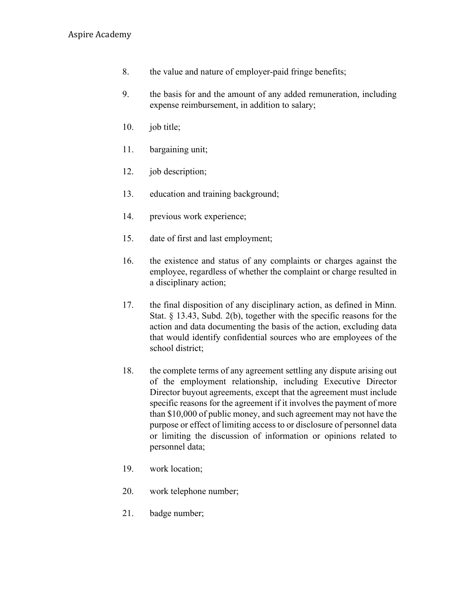- 8. the value and nature of employer-paid fringe benefits;
- 9. the basis for and the amount of any added remuneration, including expense reimbursement, in addition to salary;
- 10. job title;
- 11. bargaining unit;
- 12. job description;
- 13. education and training background;
- 14. previous work experience;
- 15. date of first and last employment;
- 16. the existence and status of any complaints or charges against the employee, regardless of whether the complaint or charge resulted in a disciplinary action;
- 17. the final disposition of any disciplinary action, as defined in Minn. Stat. § 13.43, Subd. 2(b), together with the specific reasons for the action and data documenting the basis of the action, excluding data that would identify confidential sources who are employees of the school district;
- 18. the complete terms of any agreement settling any dispute arising out of the employment relationship, including Executive Director Director buyout agreements, except that the agreement must include specific reasons for the agreement if it involves the payment of more than \$10,000 of public money, and such agreement may not have the purpose or effect of limiting access to or disclosure of personnel data or limiting the discussion of information or opinions related to personnel data;
- 19. work location;
- 20. work telephone number;
- 21. badge number;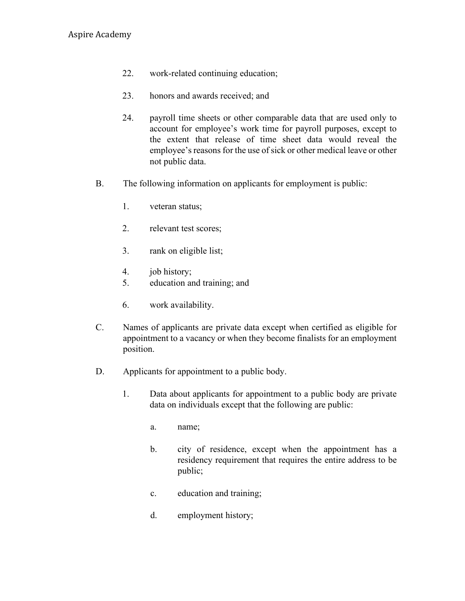- 22. work-related continuing education;
- 23. honors and awards received; and
- 24. payroll time sheets or other comparable data that are used only to account for employee's work time for payroll purposes, except to the extent that release of time sheet data would reveal the employee's reasons for the use of sick or other medical leave or other not public data.
- B. The following information on applicants for employment is public:
	- 1. veteran status;
	- 2. relevant test scores;
	- 3. rank on eligible list;
	- 4. job history;
	- 5. education and training; and
	- 6. work availability.
- C. Names of applicants are private data except when certified as eligible for appointment to a vacancy or when they become finalists for an employment position.
- D. Applicants for appointment to a public body.
	- 1. Data about applicants for appointment to a public body are private data on individuals except that the following are public:
		- a. name;
		- b. city of residence, except when the appointment has a residency requirement that requires the entire address to be public;
		- c. education and training;
		- d. employment history;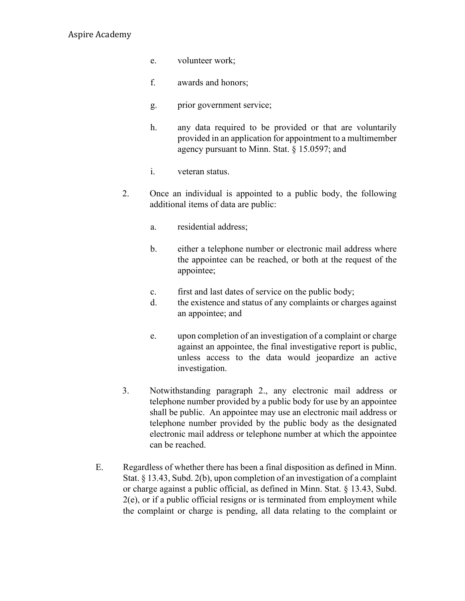## Aspire Academy

- e. volunteer work;
- f. awards and honors;
- g. prior government service;
- h. any data required to be provided or that are voluntarily provided in an application for appointment to a multimember agency pursuant to Minn. Stat. § 15.0597; and
- i. veteran status.
- 2. Once an individual is appointed to a public body, the following additional items of data are public:
	- a. residential address;
	- b. either a telephone number or electronic mail address where the appointee can be reached, or both at the request of the appointee;
	- c. first and last dates of service on the public body;
	- d. the existence and status of any complaints or charges against an appointee; and
	- e. upon completion of an investigation of a complaint or charge against an appointee, the final investigative report is public, unless access to the data would jeopardize an active investigation.
- 3. Notwithstanding paragraph 2., any electronic mail address or telephone number provided by a public body for use by an appointee shall be public. An appointee may use an electronic mail address or telephone number provided by the public body as the designated electronic mail address or telephone number at which the appointee can be reached.
- E. Regardless of whether there has been a final disposition as defined in Minn. Stat. § 13.43, Subd. 2(b), upon completion of an investigation of a complaint or charge against a public official, as defined in Minn. Stat. § 13.43, Subd. 2(e), or if a public official resigns or is terminated from employment while the complaint or charge is pending, all data relating to the complaint or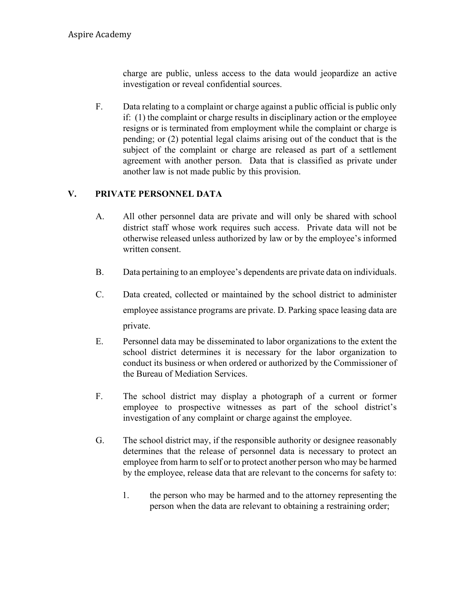charge are public, unless access to the data would jeopardize an active investigation or reveal confidential sources.

F. Data relating to a complaint or charge against a public official is public only if: (1) the complaint or charge results in disciplinary action or the employee resigns or is terminated from employment while the complaint or charge is pending; or (2) potential legal claims arising out of the conduct that is the subject of the complaint or charge are released as part of a settlement agreement with another person. Data that is classified as private under another law is not made public by this provision.

## **V. PRIVATE PERSONNEL DATA**

- A. All other personnel data are private and will only be shared with school district staff whose work requires such access. Private data will not be otherwise released unless authorized by law or by the employee's informed written consent.
- B. Data pertaining to an employee's dependents are private data on individuals.
- C. Data created, collected or maintained by the school district to administer employee assistance programs are private. D. Parking space leasing data are private.
- E. Personnel data may be disseminated to labor organizations to the extent the school district determines it is necessary for the labor organization to conduct its business or when ordered or authorized by the Commissioner of the Bureau of Mediation Services.
- F. The school district may display a photograph of a current or former employee to prospective witnesses as part of the school district's investigation of any complaint or charge against the employee.
- G. The school district may, if the responsible authority or designee reasonably determines that the release of personnel data is necessary to protect an employee from harm to self or to protect another person who may be harmed by the employee, release data that are relevant to the concerns for safety to:
	- 1. the person who may be harmed and to the attorney representing the person when the data are relevant to obtaining a restraining order;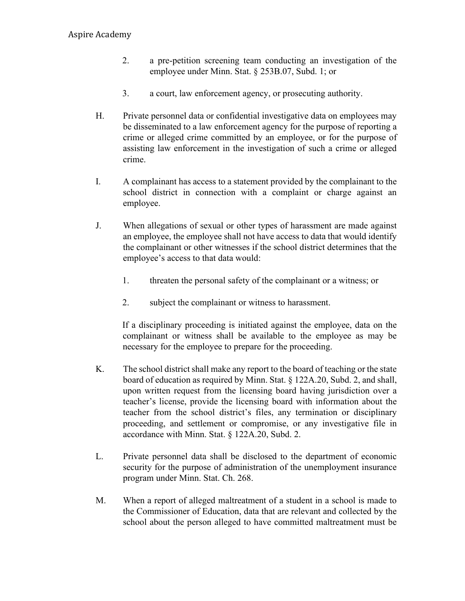- 2. a pre-petition screening team conducting an investigation of the employee under Minn. Stat. § 253B.07, Subd. 1; or
- 3. a court, law enforcement agency, or prosecuting authority.
- H. Private personnel data or confidential investigative data on employees may be disseminated to a law enforcement agency for the purpose of reporting a crime or alleged crime committed by an employee, or for the purpose of assisting law enforcement in the investigation of such a crime or alleged crime.
- I. A complainant has access to a statement provided by the complainant to the school district in connection with a complaint or charge against an employee.
- J. When allegations of sexual or other types of harassment are made against an employee, the employee shall not have access to data that would identify the complainant or other witnesses if the school district determines that the employee's access to that data would:
	- 1. threaten the personal safety of the complainant or a witness; or
	- 2. subject the complainant or witness to harassment.

If a disciplinary proceeding is initiated against the employee, data on the complainant or witness shall be available to the employee as may be necessary for the employee to prepare for the proceeding.

- K. The school district shall make any report to the board of teaching or the state board of education as required by Minn. Stat. § 122A.20, Subd. 2, and shall, upon written request from the licensing board having jurisdiction over a teacher's license, provide the licensing board with information about the teacher from the school district's files, any termination or disciplinary proceeding, and settlement or compromise, or any investigative file in accordance with Minn. Stat. § 122A.20, Subd. 2.
- L. Private personnel data shall be disclosed to the department of economic security for the purpose of administration of the unemployment insurance program under Minn. Stat. Ch. 268.
- M. When a report of alleged maltreatment of a student in a school is made to the Commissioner of Education, data that are relevant and collected by the school about the person alleged to have committed maltreatment must be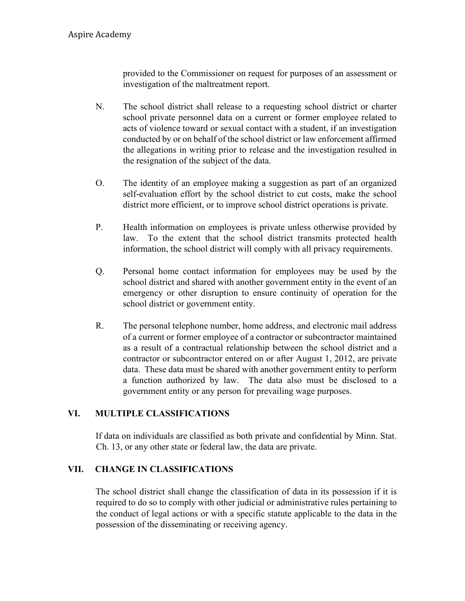provided to the Commissioner on request for purposes of an assessment or investigation of the maltreatment report.

- N. The school district shall release to a requesting school district or charter school private personnel data on a current or former employee related to acts of violence toward or sexual contact with a student, if an investigation conducted by or on behalf of the school district or law enforcement affirmed the allegations in writing prior to release and the investigation resulted in the resignation of the subject of the data.
- O. The identity of an employee making a suggestion as part of an organized self-evaluation effort by the school district to cut costs, make the school district more efficient, or to improve school district operations is private.
- P. Health information on employees is private unless otherwise provided by law. To the extent that the school district transmits protected health information, the school district will comply with all privacy requirements.
- Q. Personal home contact information for employees may be used by the school district and shared with another government entity in the event of an emergency or other disruption to ensure continuity of operation for the school district or government entity.
- R. The personal telephone number, home address, and electronic mail address of a current or former employee of a contractor or subcontractor maintained as a result of a contractual relationship between the school district and a contractor or subcontractor entered on or after August 1, 2012, are private data. These data must be shared with another government entity to perform a function authorized by law. The data also must be disclosed to a government entity or any person for prevailing wage purposes.

# **VI. MULTIPLE CLASSIFICATIONS**

If data on individuals are classified as both private and confidential by Minn. Stat. Ch. 13, or any other state or federal law, the data are private.

## **VII. CHANGE IN CLASSIFICATIONS**

The school district shall change the classification of data in its possession if it is required to do so to comply with other judicial or administrative rules pertaining to the conduct of legal actions or with a specific statute applicable to the data in the possession of the disseminating or receiving agency.